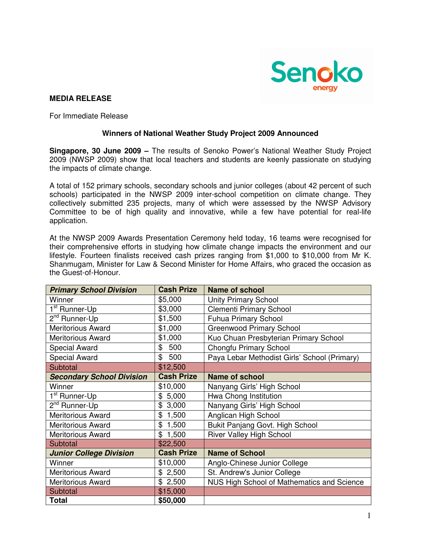

# **MEDIA RELEASE**

For Immediate Release

## **Winners of National Weather Study Project 2009 Announced**

**Singapore, 30 June 2009 –** The results of Senoko Power's National Weather Study Project 2009 (NWSP 2009) show that local teachers and students are keenly passionate on studying the impacts of climate change.

A total of 152 primary schools, secondary schools and junior colleges (about 42 percent of such schools) participated in the NWSP 2009 inter-school competition on climate change. They collectively submitted 235 projects, many of which were assessed by the NWSP Advisory Committee to be of high quality and innovative, while a few have potential for real-life application.

At the NWSP 2009 Awards Presentation Ceremony held today, 16 teams were recognised for their comprehensive efforts in studying how climate change impacts the environment and our lifestyle. Fourteen finalists received cash prizes ranging from \$1,000 to \$10,000 from Mr K. Shanmugam, Minister for Law & Second Minister for Home Affairs, who graced the occasion as the Guest-of-Honour.

| <b>Primary School Division</b>   | <b>Cash Prize</b> | <b>Name of school</b>                        |
|----------------------------------|-------------------|----------------------------------------------|
| Winner                           | \$5,000           | <b>Unity Primary School</b>                  |
| 1 <sup>st</sup> Runner-Up        | \$3,000           | <b>Clementi Primary School</b>               |
| 2 <sup>nd</sup> Runner-Up        | \$1,500           | <b>Fuhua Primary School</b>                  |
| <b>Meritorious Award</b>         | \$1,000           | <b>Greenwood Primary School</b>              |
| <b>Meritorious Award</b>         | \$1,000           | Kuo Chuan Presbyterian Primary School        |
| <b>Special Award</b>             | \$500             | Chongfu Primary School                       |
| <b>Special Award</b>             | \$500             | Paya Lebar Methodist Girls' School (Primary) |
| Subtotal                         | \$12,500          |                                              |
| <b>Secondary School Division</b> | <b>Cash Prize</b> | <b>Name of school</b>                        |
| Winner                           | \$10,000          | Nanyang Girls' High School                   |
| 1 <sup>st</sup> Runner-Up        | \$5,000           | Hwa Chong Institution                        |
| 2 <sup>nd</sup> Runner-Up        | \$<br>3,000       | Nanyang Girls' High School                   |
| <b>Meritorious Award</b>         | \$<br>1,500       | Anglican High School                         |
| <b>Meritorious Award</b>         | \$1,500           | Bukit Panjang Govt. High School              |
| <b>Meritorious Award</b>         | \$1,500           | <b>River Valley High School</b>              |
| Subtotal                         | \$22,500          |                                              |
| <b>Junior College Division</b>   | <b>Cash Prize</b> | <b>Name of School</b>                        |
| Winner                           | \$10,000          | Anglo-Chinese Junior College                 |
| <b>Meritorious Award</b>         | \$2,500           | St. Andrew's Junior College                  |
| <b>Meritorious Award</b>         | \$2,500           | NUS High School of Mathematics and Science   |
| Subtotal                         | \$15,000          |                                              |
| <b>Total</b>                     | \$50,000          |                                              |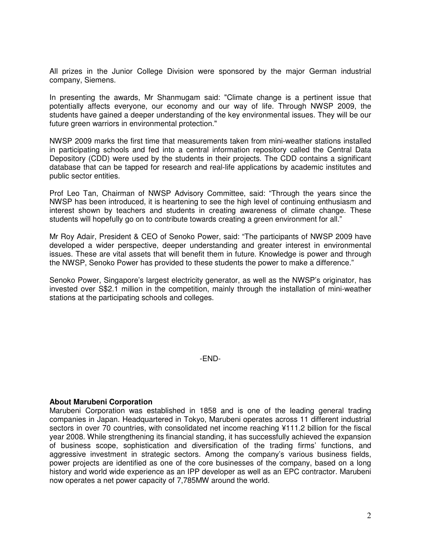All prizes in the Junior College Division were sponsored by the major German industrial company, Siemens.

In presenting the awards, Mr Shanmugam said: "Climate change is a pertinent issue that potentially affects everyone, our economy and our way of life. Through NWSP 2009, the students have gained a deeper understanding of the key environmental issues. They will be our future green warriors in environmental protection."

NWSP 2009 marks the first time that measurements taken from mini-weather stations installed in participating schools and fed into a central information repository called the Central Data Depository (CDD) were used by the students in their projects. The CDD contains a significant database that can be tapped for research and real-life applications by academic institutes and public sector entities.

Prof Leo Tan, Chairman of NWSP Advisory Committee, said: "Through the years since the NWSP has been introduced, it is heartening to see the high level of continuing enthusiasm and interest shown by teachers and students in creating awareness of climate change. These students will hopefully go on to contribute towards creating a green environment for all."

Mr Roy Adair, President & CEO of Senoko Power, said: "The participants of NWSP 2009 have developed a wider perspective, deeper understanding and greater interest in environmental issues. These are vital assets that will benefit them in future. Knowledge is power and through the NWSP, Senoko Power has provided to these students the power to make a difference."

Senoko Power, Singapore's largest electricity generator, as well as the NWSP's originator, has invested over S\$2.1 million in the competition, mainly through the installation of mini-weather stations at the participating schools and colleges.

-END-

#### **About Marubeni Corporation**

Marubeni Corporation was established in 1858 and is one of the leading general trading companies in Japan. Headquartered in Tokyo, Marubeni operates across 11 different industrial sectors in over 70 countries, with consolidated net income reaching ¥111.2 billion for the fiscal year 2008. While strengthening its financial standing, it has successfully achieved the expansion of business scope, sophistication and diversification of the trading firms' functions, and aggressive investment in strategic sectors. Among the company's various business fields, power projects are identified as one of the core businesses of the company, based on a long history and world wide experience as an IPP developer as well as an EPC contractor. Marubeni now operates a net power capacity of 7,785MW around the world.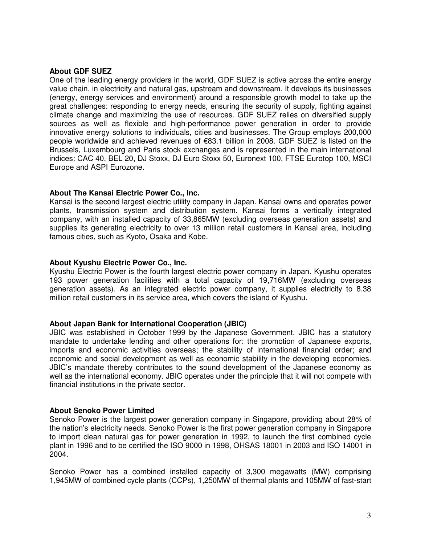## **About GDF SUEZ**

One of the leading energy providers in the world, GDF SUEZ is active across the entire energy value chain, in electricity and natural gas, upstream and downstream. It develops its businesses (energy, energy services and environment) around a responsible growth model to take up the great challenges: responding to energy needs, ensuring the security of supply, fighting against climate change and maximizing the use of resources. GDF SUEZ relies on diversified supply sources as well as flexible and high-performance power generation in order to provide innovative energy solutions to individuals, cities and businesses. The Group employs 200,000 people worldwide and achieved revenues of €83.1 billion in 2008. GDF SUEZ is listed on the Brussels, Luxembourg and Paris stock exchanges and is represented in the main international indices: CAC 40, BEL 20, DJ Stoxx, DJ Euro Stoxx 50, Euronext 100, FTSE Eurotop 100, MSCI Europe and ASPI Eurozone.

#### **About The Kansai Electric Power Co., Inc.**

Kansai is the second largest electric utility company in Japan. Kansai owns and operates power plants, transmission system and distribution system. Kansai forms a vertically integrated company, with an installed capacity of 33,865MW (excluding overseas generation assets) and supplies its generating electricity to over 13 million retail customers in Kansai area, including famous cities, such as Kyoto, Osaka and Kobe.

## **About Kyushu Electric Power Co., Inc.**

Kyushu Electric Power is the fourth largest electric power company in Japan. Kyushu operates 193 power generation facilities with a total capacity of 19,716MW (excluding overseas generation assets). As an integrated electric power company, it supplies electricity to 8.38 million retail customers in its service area, which covers the island of Kyushu.

#### **About Japan Bank for International Cooperation (JBIC)**

JBIC was established in October 1999 by the Japanese Government. JBIC has a statutory mandate to undertake lending and other operations for: the promotion of Japanese exports, imports and economic activities overseas; the stability of international financial order; and economic and social development as well as economic stability in the developing economies. JBIC's mandate thereby contributes to the sound development of the Japanese economy as well as the international economy. JBIC operates under the principle that it will not compete with financial institutions in the private sector.

# **About Senoko Power Limited**

Senoko Power is the largest power generation company in Singapore, providing about 28% of the nation's electricity needs. Senoko Power is the first power generation company in Singapore to import clean natural gas for power generation in 1992, to launch the first combined cycle plant in 1996 and to be certified the ISO 9000 in 1998, OHSAS 18001 in 2003 and ISO 14001 in 2004.

Senoko Power has a combined installed capacity of 3,300 megawatts (MW) comprising 1,945MW of combined cycle plants (CCPs), 1,250MW of thermal plants and 105MW of fast-start